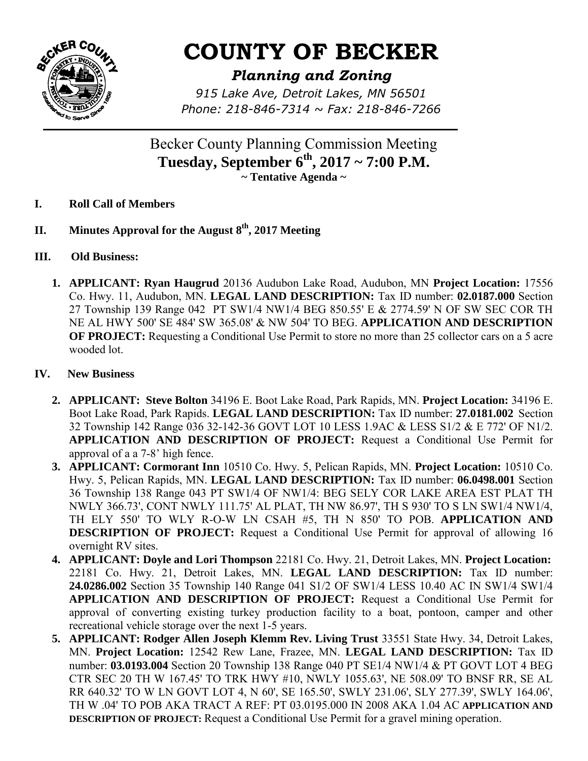

## **COUNTY OF BECKER**

## *Planning and Zoning*

*915 Lake Ave, Detroit Lakes, MN 56501 Phone: 218-846-7314 ~ Fax: 218-846-7266*

Becker County Planning Commission Meeting **Tuesday, September 6th, 2017 ~ 7:00 P.M. ~ Tentative Agenda ~** 

- **I. Roll Call of Members**
- **II. Minutes Approval for the August 8th, 2017 Meeting**
- **III. Old Business:** 
	- **1. APPLICANT: Ryan Haugrud** 20136 Audubon Lake Road, Audubon, MN **Project Location:** 17556 Co. Hwy. 11, Audubon, MN. **LEGAL LAND DESCRIPTION:** Tax ID number: **02.0187.000** Section 27 Township 139 Range 042 PT SW1/4 NW1/4 BEG 850.55' E & 2774.59' N OF SW SEC COR TH NE AL HWY 500' SE 484' SW 365.08' & NW 504' TO BEG. **APPLICATION AND DESCRIPTION OF PROJECT:** Requesting a Conditional Use Permit to store no more than 25 collector cars on a 5 acre wooded lot.

## **IV. New Business**

- **2. APPLICANT: Steve Bolton** 34196 E. Boot Lake Road, Park Rapids, MN. **Project Location:** 34196 E. Boot Lake Road, Park Rapids. **LEGAL LAND DESCRIPTION:** Tax ID number: **27.0181.002** Section 32 Township 142 Range 036 32-142-36 GOVT LOT 10 LESS 1.9AC & LESS S1/2 & E 772' OF N1/2. **APPLICATION AND DESCRIPTION OF PROJECT:** Request a Conditional Use Permit for approval of a a 7-8' high fence.
- **3. APPLICANT: Cormorant Inn** 10510 Co. Hwy. 5, Pelican Rapids, MN. **Project Location:** 10510 Co. Hwy. 5, Pelican Rapids, MN. **LEGAL LAND DESCRIPTION:** Tax ID number: **06.0498.001** Section 36 Township 138 Range 043 PT SW1/4 OF NW1/4: BEG SELY COR LAKE AREA EST PLAT TH NWLY 366.73', CONT NWLY 111.75' AL PLAT, TH NW 86.97', TH S 930' TO S LN SW1/4 NW1/4, TH ELY 550' TO WLY R-O-W LN CSAH #5, TH N 850' TO POB. **APPLICATION AND DESCRIPTION OF PROJECT:** Request a Conditional Use Permit for approval of allowing 16 overnight RV sites.
- **4. APPLICANT: Doyle and Lori Thompson** 22181 Co. Hwy. 21, Detroit Lakes, MN. **Project Location:**  22181 Co. Hwy. 21, Detroit Lakes, MN. **LEGAL LAND DESCRIPTION:** Tax ID number: **24.0286.002** Section 35 Township 140 Range 041 S1/2 OF SW1/4 LESS 10.40 AC IN SW1/4 SW1/4 **APPLICATION AND DESCRIPTION OF PROJECT:** Request a Conditional Use Permit for approval of converting existing turkey production facility to a boat, pontoon, camper and other recreational vehicle storage over the next 1-5 years.
- **5. APPLICANT: Rodger Allen Joseph Klemm Rev. Living Trust** 33551 State Hwy. 34, Detroit Lakes, MN. **Project Location:** 12542 Rew Lane, Frazee, MN. **LEGAL LAND DESCRIPTION:** Tax ID number: **03.0193.004** Section 20 Township 138 Range 040 PT SE1/4 NW1/4 & PT GOVT LOT 4 BEG CTR SEC 20 TH W 167.45' TO TRK HWY #10, NWLY 1055.63', NE 508.09' TO BNSF RR, SE AL RR 640.32' TO W LN GOVT LOT 4, N 60', SE 165.50', SWLY 231.06', SLY 277.39', SWLY 164.06', TH W .04' TO POB AKA TRACT A REF: PT 03.0195.000 IN 2008 AKA 1.04 AC **APPLICATION AND DESCRIPTION OF PROJECT:** Request a Conditional Use Permit for a gravel mining operation.